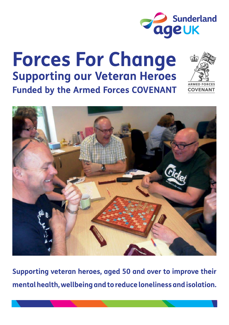

## **Forces For Change Supporting our Veteran Heroes Funded by the Armed Forces COVENANT**





**Supporting veteran heroes, aged 50 and over to improve their mental health, wellbeing and to reduce loneliness and isolation.**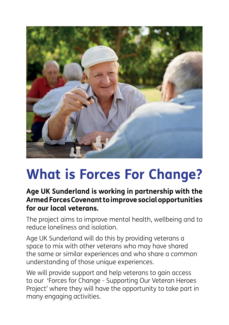

# **What is Forces For Change?**

### **Age UK Sunderland is working in partnership with the Armed Forces Covenant to improve social opportunities for our local veterans.**

The project aims to improve mental health, wellbeing and to reduce loneliness and isolation.

Age UK Sunderland will do this by providing veterans a space to mix with other veterans who may have shared the same or similar experiences and who share a common understanding of those unique experiences.

We will provide support and help veterans to gain access to our 'Forces for Change - Supporting Our Veteran Heroes Project' where they will have the opportunity to take part in many engaging activities.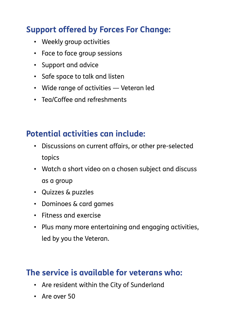## **Support offered by Forces For Change:**

- Weekly group activities
- Face to face group sessions
- Support and advice
- Safe space to talk and listen
- Wide range of activities Veteran led
- Tea/Coffee and refreshments

## **Potential activities can include:**

- Discussions on current affairs, or other pre-selected topics
- Watch a short video on a chosen subject and discuss as a group
- Quizzes & puzzles
- Dominoes & card games
- Fitness and exercise
- Plus many more entertaining and engaging activities, led by you the Veteran.

## **The service is available for veterans who:**

- Are resident within the City of Sunderland
- Are over 50